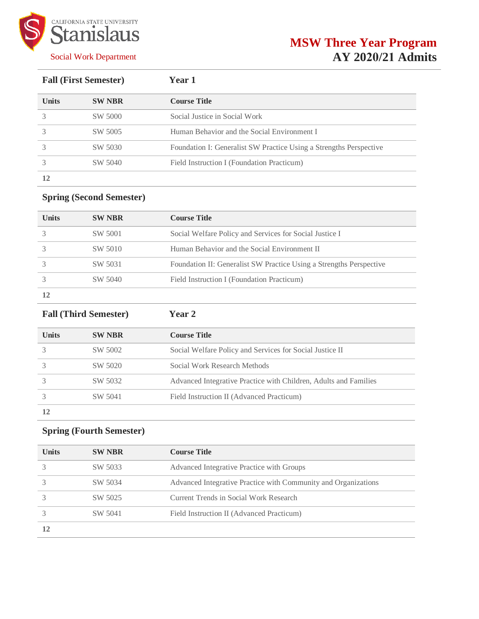

# **MSW Three Year Program AY 2020/21 Admits**

| <b>Fall (First Semester)</b> |               | <b>Year 1</b>                                                      |  |
|------------------------------|---------------|--------------------------------------------------------------------|--|
| <b>Units</b>                 | <b>SW NBR</b> | <b>Course Title</b>                                                |  |
|                              | SW 5000       | Social Justice in Social Work                                      |  |
|                              | SW 5005       | Human Behavior and the Social Environment I                        |  |
|                              | SW 5030       | Foundation I: Generalist SW Practice Using a Strengths Perspective |  |
|                              | SW 5040       | Field Instruction I (Foundation Practicum)                         |  |
|                              |               |                                                                    |  |

## **Spring (Second Semester)**

| <b>Units</b> | <b>SW NBR</b> | <b>Course Title</b>                                                 |
|--------------|---------------|---------------------------------------------------------------------|
|              | SW 5001       | Social Welfare Policy and Services for Social Justice I             |
|              | SW 5010       | Human Behavior and the Social Environment II                        |
|              | SW 5031       | Foundation II: Generalist SW Practice Using a Strengths Perspective |
|              | SW 5040       | Field Instruction I (Foundation Practicum)                          |
|              |               |                                                                     |

| <b>Fall (Third Semester)</b> |               | <b>Year 2</b>                                                    |  |
|------------------------------|---------------|------------------------------------------------------------------|--|
| <b>Units</b>                 | <b>SW NBR</b> | <b>Course Title</b>                                              |  |
|                              | SW 5002       | Social Welfare Policy and Services for Social Justice II         |  |
|                              | SW 5020       | Social Work Research Methods                                     |  |
|                              | SW 5032       | Advanced Integrative Practice with Children, Adults and Families |  |
|                              | SW 5041       | Field Instruction II (Advanced Practicum)                        |  |
| 12                           |               |                                                                  |  |

## **Spring (Fourth Semester)**

| <b>Units</b> | <b>SW NBR</b> | <b>Course Title</b>                                            |
|--------------|---------------|----------------------------------------------------------------|
|              | SW 5033       | Advanced Integrative Practice with Groups                      |
|              | SW 5034       | Advanced Integrative Practice with Community and Organizations |
|              | SW 5025       | Current Trends in Social Work Research                         |
|              | SW 5041       | Field Instruction II (Advanced Practicum)                      |
| 12           |               |                                                                |